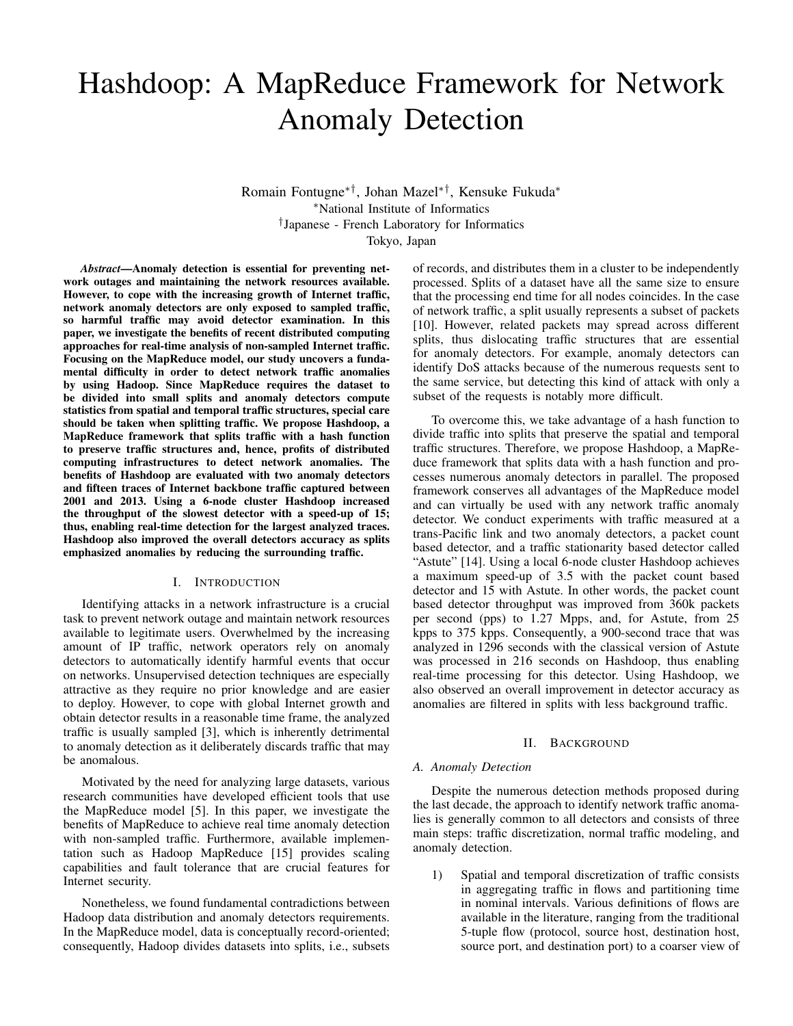# Hashdoop: A MapReduce Framework for Network Anomaly Detection

Romain Fontugne∗†, Johan Mazel∗†, Kensuke Fukuda<sup>∗</sup> <sup>∗</sup>National Institute of Informatics † Japanese - French Laboratory for Informatics Tokyo, Japan

*Abstract*—Anomaly detection is essential for preventing network outages and maintaining the network resources available. However, to cope with the increasing growth of Internet traffic, network anomaly detectors are only exposed to sampled traffic, so harmful traffic may avoid detector examination. In this paper, we investigate the benefits of recent distributed computing approaches for real-time analysis of non-sampled Internet traffic. Focusing on the MapReduce model, our study uncovers a fundamental difficulty in order to detect network traffic anomalies by using Hadoop. Since MapReduce requires the dataset to be divided into small splits and anomaly detectors compute statistics from spatial and temporal traffic structures, special care should be taken when splitting traffic. We propose Hashdoop, a MapReduce framework that splits traffic with a hash function to preserve traffic structures and, hence, profits of distributed computing infrastructures to detect network anomalies. The benefits of Hashdoop are evaluated with two anomaly detectors and fifteen traces of Internet backbone traffic captured between 2001 and 2013. Using a 6-node cluster Hashdoop increased the throughput of the slowest detector with a speed-up of 15; thus, enabling real-time detection for the largest analyzed traces. Hashdoop also improved the overall detectors accuracy as splits emphasized anomalies by reducing the surrounding traffic.

# I. INTRODUCTION

Identifying attacks in a network infrastructure is a crucial task to prevent network outage and maintain network resources available to legitimate users. Overwhelmed by the increasing amount of IP traffic, network operators rely on anomaly detectors to automatically identify harmful events that occur on networks. Unsupervised detection techniques are especially attractive as they require no prior knowledge and are easier to deploy. However, to cope with global Internet growth and obtain detector results in a reasonable time frame, the analyzed traffic is usually sampled [3], which is inherently detrimental to anomaly detection as it deliberately discards traffic that may be anomalous.

Motivated by the need for analyzing large datasets, various research communities have developed efficient tools that use the MapReduce model [5]. In this paper, we investigate the benefits of MapReduce to achieve real time anomaly detection with non-sampled traffic. Furthermore, available implementation such as Hadoop MapReduce [15] provides scaling capabilities and fault tolerance that are crucial features for Internet security.

Nonetheless, we found fundamental contradictions between Hadoop data distribution and anomaly detectors requirements. In the MapReduce model, data is conceptually record-oriented; consequently, Hadoop divides datasets into splits, i.e., subsets of records, and distributes them in a cluster to be independently processed. Splits of a dataset have all the same size to ensure that the processing end time for all nodes coincides. In the case of network traffic, a split usually represents a subset of packets [10]. However, related packets may spread across different splits, thus dislocating traffic structures that are essential for anomaly detectors. For example, anomaly detectors can identify DoS attacks because of the numerous requests sent to the same service, but detecting this kind of attack with only a subset of the requests is notably more difficult.

To overcome this, we take advantage of a hash function to divide traffic into splits that preserve the spatial and temporal traffic structures. Therefore, we propose Hashdoop, a MapReduce framework that splits data with a hash function and processes numerous anomaly detectors in parallel. The proposed framework conserves all advantages of the MapReduce model and can virtually be used with any network traffic anomaly detector. We conduct experiments with traffic measured at a trans-Pacific link and two anomaly detectors, a packet count based detector, and a traffic stationarity based detector called "Astute" [14]. Using a local 6-node cluster Hashdoop achieves a maximum speed-up of 3.5 with the packet count based detector and 15 with Astute. In other words, the packet count based detector throughput was improved from 360k packets per second (pps) to 1.27 Mpps, and, for Astute, from 25 kpps to 375 kpps. Consequently, a 900-second trace that was analyzed in 1296 seconds with the classical version of Astute was processed in 216 seconds on Hashdoop, thus enabling real-time processing for this detector. Using Hashdoop, we also observed an overall improvement in detector accuracy as anomalies are filtered in splits with less background traffic.

## II. BACKGROUND

# *A. Anomaly Detection*

Despite the numerous detection methods proposed during the last decade, the approach to identify network traffic anomalies is generally common to all detectors and consists of three main steps: traffic discretization, normal traffic modeling, and anomaly detection.

1) Spatial and temporal discretization of traffic consists in aggregating traffic in flows and partitioning time in nominal intervals. Various definitions of flows are available in the literature, ranging from the traditional 5-tuple flow (protocol, source host, destination host, source port, and destination port) to a coarser view of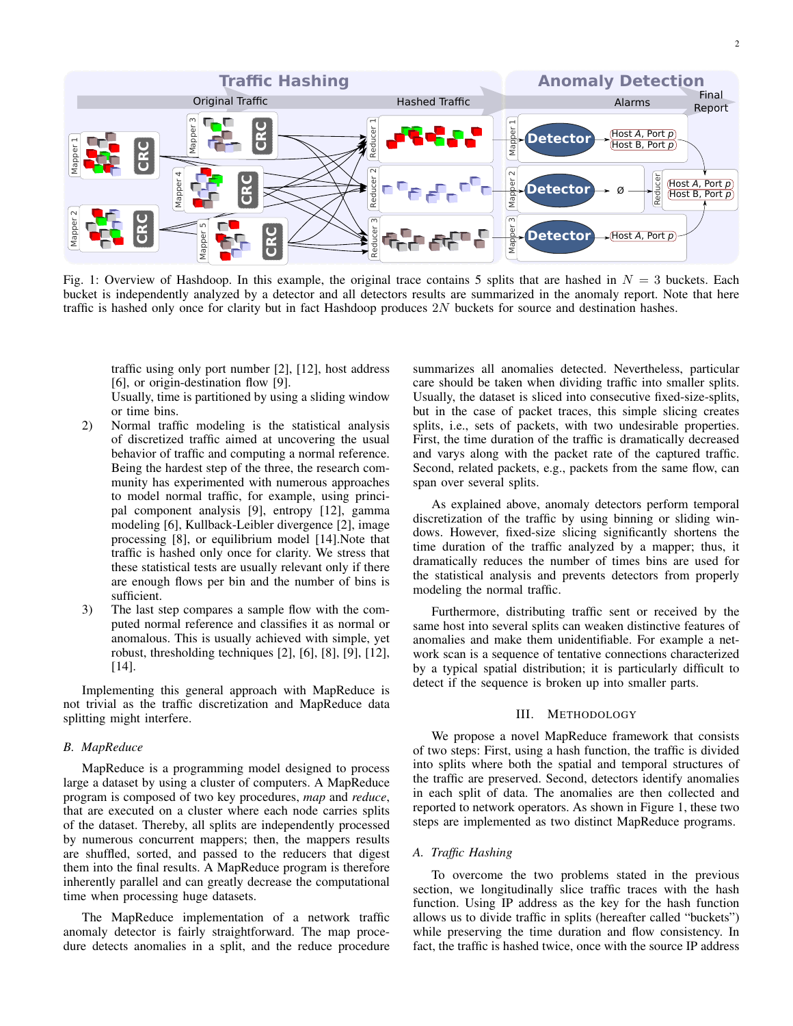

Fig. 1: Overview of Hashdoop. In this example, the original trace contains 5 splits that are hashed in  $N = 3$  buckets. Each bucket is independently analyzed by a detector and all detectors results are summarized in the anomaly report. Note that here traffic is hashed only once for clarity but in fact Hashdoop produces  $2N$  buckets for source and destination hashes.

traffic using only port number [2], [12], host address [6], or origin-destination flow [9].

Usually, time is partitioned by using a sliding window or time bins.

- 2) Normal traffic modeling is the statistical analysis of discretized traffic aimed at uncovering the usual behavior of traffic and computing a normal reference. Being the hardest step of the three, the research community has experimented with numerous approaches to model normal traffic, for example, using principal component analysis [9], entropy [12], gamma modeling [6], Kullback-Leibler divergence [2], image processing [8], or equilibrium model [14].Note that traffic is hashed only once for clarity. We stress that these statistical tests are usually relevant only if there are enough flows per bin and the number of bins is sufficient.
- 3) The last step compares a sample flow with the computed normal reference and classifies it as normal or anomalous. This is usually achieved with simple, yet robust, thresholding techniques [2], [6], [8], [9], [12], [14].

Implementing this general approach with MapReduce is not trivial as the traffic discretization and MapReduce data splitting might interfere.

# *B. MapReduce*

MapReduce is a programming model designed to process large a dataset by using a cluster of computers. A MapReduce program is composed of two key procedures, *map* and *reduce*, that are executed on a cluster where each node carries splits of the dataset. Thereby, all splits are independently processed by numerous concurrent mappers; then, the mappers results are shuffled, sorted, and passed to the reducers that digest them into the final results. A MapReduce program is therefore inherently parallel and can greatly decrease the computational time when processing huge datasets.

The MapReduce implementation of a network traffic anomaly detector is fairly straightforward. The map procedure detects anomalies in a split, and the reduce procedure summarizes all anomalies detected. Nevertheless, particular care should be taken when dividing traffic into smaller splits. Usually, the dataset is sliced into consecutive fixed-size-splits, but in the case of packet traces, this simple slicing creates splits, i.e., sets of packets, with two undesirable properties. First, the time duration of the traffic is dramatically decreased and varys along with the packet rate of the captured traffic. Second, related packets, e.g., packets from the same flow, can span over several splits.

As explained above, anomaly detectors perform temporal discretization of the traffic by using binning or sliding windows. However, fixed-size slicing significantly shortens the time duration of the traffic analyzed by a mapper; thus, it dramatically reduces the number of times bins are used for the statistical analysis and prevents detectors from properly modeling the normal traffic.

Furthermore, distributing traffic sent or received by the same host into several splits can weaken distinctive features of anomalies and make them unidentifiable. For example a network scan is a sequence of tentative connections characterized by a typical spatial distribution; it is particularly difficult to detect if the sequence is broken up into smaller parts.

## III. METHODOLOGY

We propose a novel MapReduce framework that consists of two steps: First, using a hash function, the traffic is divided into splits where both the spatial and temporal structures of the traffic are preserved. Second, detectors identify anomalies in each split of data. The anomalies are then collected and reported to network operators. As shown in Figure 1, these two steps are implemented as two distinct MapReduce programs.

### *A. Traffic Hashing*

To overcome the two problems stated in the previous section, we longitudinally slice traffic traces with the hash function. Using IP address as the key for the hash function allows us to divide traffic in splits (hereafter called "buckets") while preserving the time duration and flow consistency. In fact, the traffic is hashed twice, once with the source IP address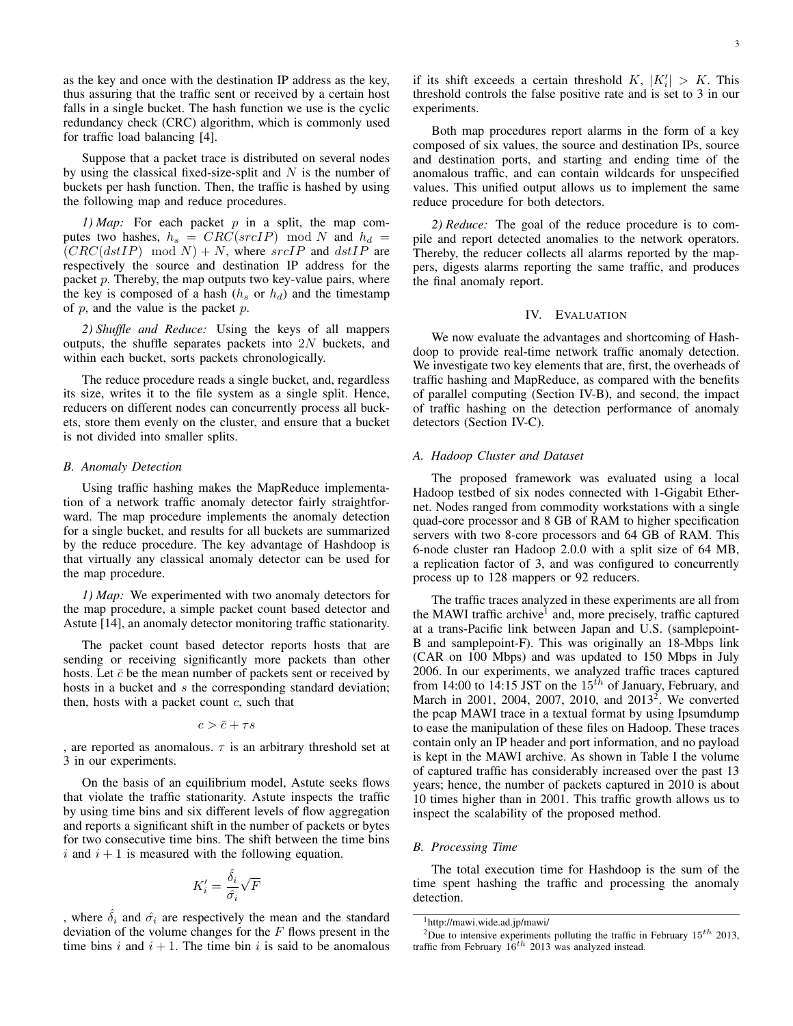as the key and once with the destination IP address as the key, thus assuring that the traffic sent or received by a certain host falls in a single bucket. The hash function we use is the cyclic redundancy check (CRC) algorithm, which is commonly used for traffic load balancing [4].

Suppose that a packet trace is distributed on several nodes by using the classical fixed-size-split and  $N$  is the number of buckets per hash function. Then, the traffic is hashed by using the following map and reduce procedures.

*1) Map:* For each packet p in a split, the map computes two hashes,  $h_s = CRC(srcIP) \mod N$  and  $h_d =$  $(CRC(dstIP) \mod N) + N$ , where  $srcIP$  and  $dstIP$  are respectively the source and destination IP address for the packet  $p$ . Thereby, the map outputs two key-value pairs, where the key is composed of a hash  $(h_s \text{ or } h_d)$  and the timestamp of  $p$ , and the value is the packet  $p$ .

*2) Shuffle and Reduce:* Using the keys of all mappers outputs, the shuffle separates packets into  $2N$  buckets, and within each bucket, sorts packets chronologically.

The reduce procedure reads a single bucket, and, regardless its size, writes it to the file system as a single split. Hence, reducers on different nodes can concurrently process all buckets, store them evenly on the cluster, and ensure that a bucket is not divided into smaller splits.

#### *B. Anomaly Detection*

Using traffic hashing makes the MapReduce implementation of a network traffic anomaly detector fairly straightforward. The map procedure implements the anomaly detection for a single bucket, and results for all buckets are summarized by the reduce procedure. The key advantage of Hashdoop is that virtually any classical anomaly detector can be used for the map procedure.

*1) Map:* We experimented with two anomaly detectors for the map procedure, a simple packet count based detector and Astute [14], an anomaly detector monitoring traffic stationarity.

The packet count based detector reports hosts that are sending or receiving significantly more packets than other hosts. Let  $\bar{c}$  be the mean number of packets sent or received by hosts in a bucket and s the corresponding standard deviation; then, hosts with a packet count  $c$ , such that

$$
c > \bar{c} + \tau s
$$

, are reported as anomalous.  $\tau$  is an arbitrary threshold set at 3 in our experiments.

On the basis of an equilibrium model, Astute seeks flows that violate the traffic stationarity. Astute inspects the traffic by using time bins and six different levels of flow aggregation and reports a significant shift in the number of packets or bytes for two consecutive time bins. The shift between the time bins i and  $i + 1$  is measured with the following equation.

$$
K'_i = \frac{\hat{\delta_i}}{\hat{\sigma_i}}\sqrt{F}
$$

, where  $\delta_i$  and  $\hat{\sigma}_i$  are respectively the mean and the standard deviation of the volume changes for the  $F$  flows present in the time bins i and  $i + 1$ . The time bin i is said to be anomalous

if its shift exceeds a certain threshold  $K$ ,  $|K'_i| > K$ . This threshold controls the false positive rate and is set to 3 in our experiments.

Both map procedures report alarms in the form of a key composed of six values, the source and destination IPs, source and destination ports, and starting and ending time of the anomalous traffic, and can contain wildcards for unspecified values. This unified output allows us to implement the same reduce procedure for both detectors.

*2) Reduce:* The goal of the reduce procedure is to compile and report detected anomalies to the network operators. Thereby, the reducer collects all alarms reported by the mappers, digests alarms reporting the same traffic, and produces the final anomaly report.

# IV. EVALUATION

We now evaluate the advantages and shortcoming of Hashdoop to provide real-time network traffic anomaly detection. We investigate two key elements that are, first, the overheads of traffic hashing and MapReduce, as compared with the benefits of parallel computing (Section IV-B), and second, the impact of traffic hashing on the detection performance of anomaly detectors (Section IV-C).

#### *A. Hadoop Cluster and Dataset*

The proposed framework was evaluated using a local Hadoop testbed of six nodes connected with 1-Gigabit Ethernet. Nodes ranged from commodity workstations with a single quad-core processor and 8 GB of RAM to higher specification servers with two 8-core processors and 64 GB of RAM. This 6-node cluster ran Hadoop 2.0.0 with a split size of 64 MB, a replication factor of 3, and was configured to concurrently process up to 128 mappers or 92 reducers.

The traffic traces analyzed in these experiments are all from the MAWI traffic archive<sup>1</sup> and, more precisely, traffic captured at a trans-Pacific link between Japan and U.S. (samplepoint-B and samplepoint-F). This was originally an 18-Mbps link (CAR on 100 Mbps) and was updated to 150 Mbps in July 2006. In our experiments, we analyzed traffic traces captured from 14:00 to 14:15 JST on the  $15<sup>th</sup>$  of January, February, and March in 2001, 2004, 2007, 2010, and 2013<sup>2</sup>. We converted the pcap MAWI trace in a textual format by using Ipsumdump to ease the manipulation of these files on Hadoop. These traces contain only an IP header and port information, and no payload is kept in the MAWI archive. As shown in Table I the volume of captured traffic has considerably increased over the past 13 years; hence, the number of packets captured in 2010 is about 10 times higher than in 2001. This traffic growth allows us to inspect the scalability of the proposed method.

#### *B. Processing Time*

The total execution time for Hashdoop is the sum of the time spent hashing the traffic and processing the anomaly detection.

<sup>1</sup>http://mawi.wide.ad.jp/mawi/

<sup>&</sup>lt;sup>2</sup>Due to intensive experiments polluting the traffic in February  $15^{th}$  2013, traffic from February  $16^{th}$  2013 was analyzed instead.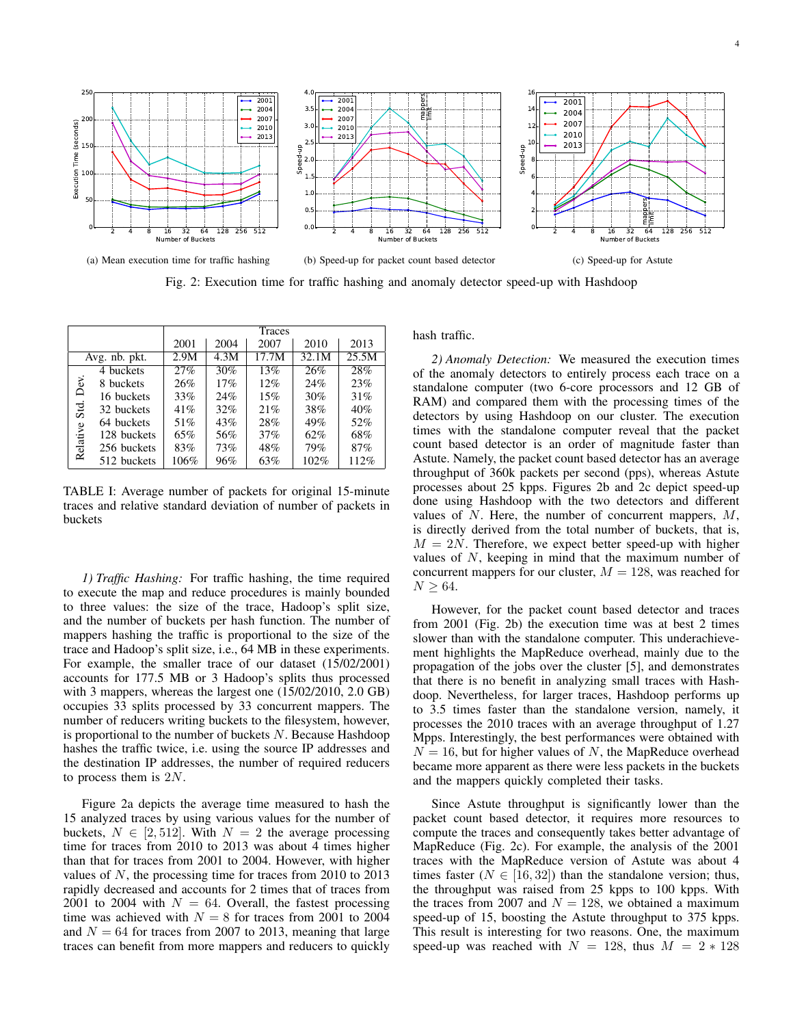

Fig. 2: Execution time for traffic hashing and anomaly detector speed-up with Hashdoop

|                              |             | Traces |      |       |       |       |
|------------------------------|-------------|--------|------|-------|-------|-------|
|                              |             | 2001   | 2004 | 2007  | 2010  | 2013  |
| Avg. nb. pkt.                |             | 2.9M   | 4.3M | 17.7M | 32.1M | 25.5M |
| εv.<br>≏<br>Std.<br>Relative | 4 buckets   | 27%    | 30%  | 13%   | 26%   | 28%   |
|                              | 8 buckets   | 26%    | 17%  | 12%   | 24%   | 23%   |
|                              | 16 buckets  | 33%    | 24%  | 15%   | 30%   | 31%   |
|                              | 32 buckets  | 41%    | 32%  | 21%   | 38%   | 40%   |
|                              | 64 buckets  | 51%    | 43%  | 28%   | 49%   | 52%   |
|                              | 128 buckets | 65%    | 56%  | 37%   | 62%   | 68%   |
|                              | 256 buckets | 83%    | 73%  | 48%   | 79%   | 87%   |
|                              | 512 buckets | 106%   | 96%  | 63%   | 102%  | 112%  |

TABLE I: Average number of packets for original 15-minute traces and relative standard deviation of number of packets in buckets

*1) Traffic Hashing:* For traffic hashing, the time required to execute the map and reduce procedures is mainly bounded to three values: the size of the trace, Hadoop's split size, and the number of buckets per hash function. The number of mappers hashing the traffic is proportional to the size of the trace and Hadoop's split size, i.e., 64 MB in these experiments. For example, the smaller trace of our dataset (15/02/2001) accounts for 177.5 MB or 3 Hadoop's splits thus processed with 3 mappers, whereas the largest one (15/02/2010, 2.0 GB) occupies 33 splits processed by 33 concurrent mappers. The number of reducers writing buckets to the filesystem, however, is proportional to the number of buckets  $N$ . Because Hashdoop hashes the traffic twice, i.e. using the source IP addresses and the destination IP addresses, the number of required reducers to process them is 2N.

Figure 2a depicts the average time measured to hash the 15 analyzed traces by using various values for the number of buckets,  $N \in [2, 512]$ . With  $N = 2$  the average processing time for traces from 2010 to 2013 was about 4 times higher than that for traces from 2001 to 2004. However, with higher values of N, the processing time for traces from 2010 to 2013 rapidly decreased and accounts for 2 times that of traces from 2001 to 2004 with  $N = 64$ . Overall, the fastest processing time was achieved with  $N = 8$  for traces from 2001 to 2004 and  $N = 64$  for traces from 2007 to 2013, meaning that large traces can benefit from more mappers and reducers to quickly hash traffic.

*2) Anomaly Detection:* We measured the execution times of the anomaly detectors to entirely process each trace on a standalone computer (two 6-core processors and 12 GB of RAM) and compared them with the processing times of the detectors by using Hashdoop on our cluster. The execution times with the standalone computer reveal that the packet count based detector is an order of magnitude faster than Astute. Namely, the packet count based detector has an average throughput of 360k packets per second (pps), whereas Astute processes about 25 kpps. Figures 2b and 2c depict speed-up done using Hashdoop with the two detectors and different values of  $N$ . Here, the number of concurrent mappers,  $M$ , is directly derived from the total number of buckets, that is,  $M = 2N$ . Therefore, we expect better speed-up with higher values of N, keeping in mind that the maximum number of concurrent mappers for our cluster,  $M = 128$ , was reached for  $N > 64$ .

However, for the packet count based detector and traces from 2001 (Fig. 2b) the execution time was at best 2 times slower than with the standalone computer. This underachievement highlights the MapReduce overhead, mainly due to the propagation of the jobs over the cluster [5], and demonstrates that there is no benefit in analyzing small traces with Hashdoop. Nevertheless, for larger traces, Hashdoop performs up to 3.5 times faster than the standalone version, namely, it processes the 2010 traces with an average throughput of 1.27 Mpps. Interestingly, the best performances were obtained with  $N = 16$ , but for higher values of N, the MapReduce overhead became more apparent as there were less packets in the buckets and the mappers quickly completed their tasks.

Since Astute throughput is significantly lower than the packet count based detector, it requires more resources to compute the traces and consequently takes better advantage of MapReduce (Fig. 2c). For example, the analysis of the 2001 traces with the MapReduce version of Astute was about 4 times faster ( $N \in [16, 32]$ ) than the standalone version; thus, the throughput was raised from 25 kpps to 100 kpps. With the traces from 2007 and  $N = 128$ , we obtained a maximum speed-up of 15, boosting the Astute throughput to 375 kpps. This result is interesting for two reasons. One, the maximum speed-up was reached with  $N = 128$ , thus  $M = 2 * 128$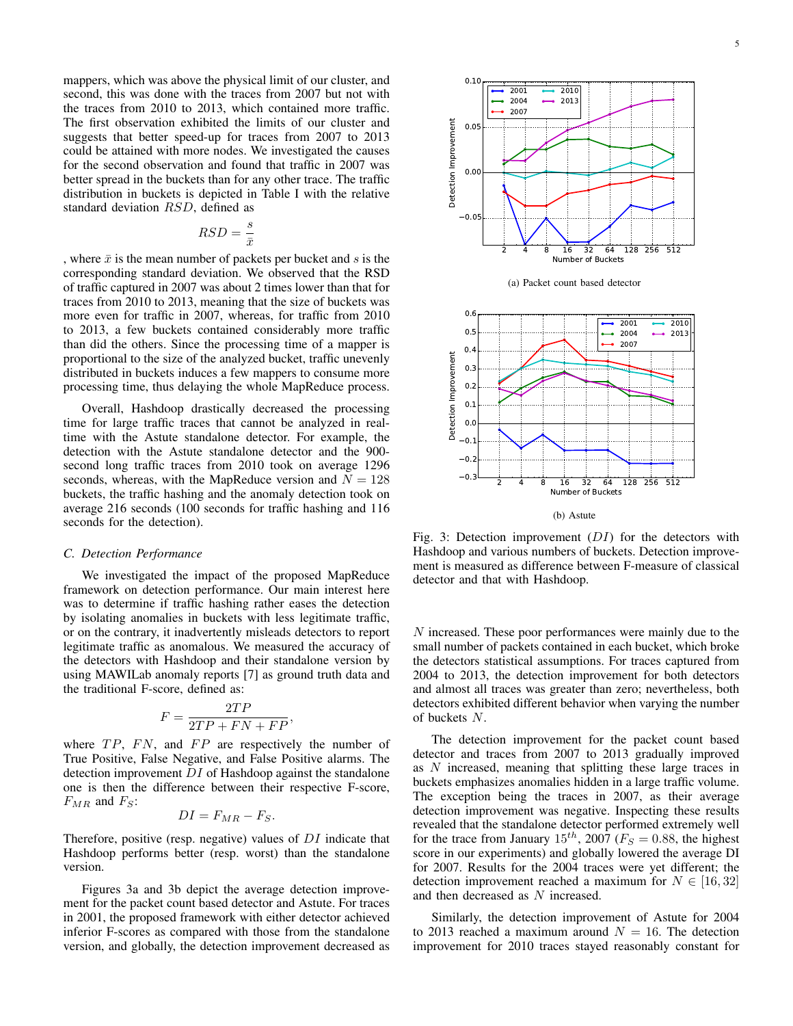mappers, which was above the physical limit of our cluster, and second, this was done with the traces from 2007 but not with the traces from 2010 to 2013, which contained more traffic. The first observation exhibited the limits of our cluster and suggests that better speed-up for traces from 2007 to 2013 could be attained with more nodes. We investigated the causes for the second observation and found that traffic in 2007 was better spread in the buckets than for any other trace. The traffic distribution in buckets is depicted in Table I with the relative standard deviation RSD, defined as

$$
RSD = \frac{s}{\bar{x}}
$$

, where  $\bar{x}$  is the mean number of packets per bucket and s is the corresponding standard deviation. We observed that the RSD of traffic captured in 2007 was about 2 times lower than that for traces from 2010 to 2013, meaning that the size of buckets was more even for traffic in 2007, whereas, for traffic from 2010 to 2013, a few buckets contained considerably more traffic than did the others. Since the processing time of a mapper is proportional to the size of the analyzed bucket, traffic unevenly distributed in buckets induces a few mappers to consume more processing time, thus delaying the whole MapReduce process.

Overall, Hashdoop drastically decreased the processing time for large traffic traces that cannot be analyzed in realtime with the Astute standalone detector. For example, the detection with the Astute standalone detector and the 900 second long traffic traces from 2010 took on average 1296 seconds, whereas, with the MapReduce version and  $N = 128$ buckets, the traffic hashing and the anomaly detection took on average 216 seconds (100 seconds for traffic hashing and 116 seconds for the detection).

#### *C. Detection Performance*

We investigated the impact of the proposed MapReduce framework on detection performance. Our main interest here was to determine if traffic hashing rather eases the detection by isolating anomalies in buckets with less legitimate traffic, or on the contrary, it inadvertently misleads detectors to report legitimate traffic as anomalous. We measured the accuracy of the detectors with Hashdoop and their standalone version by using MAWILab anomaly reports [7] as ground truth data and the traditional F-score, defined as:

$$
F=\frac{2TP}{2TP+FN+FP},
$$

where  $TP$ ,  $FN$ , and  $FP$  are respectively the number of True Positive, False Negative, and False Positive alarms. The detection improvement DI of Hashdoop against the standalone one is then the difference between their respective F-score,  $F_{MR}$  and  $F_S$ :

$$
DI = F_{MR} - F_S.
$$

Therefore, positive (resp. negative) values of  $DI$  indicate that Hashdoop performs better (resp. worst) than the standalone version.

Figures 3a and 3b depict the average detection improvement for the packet count based detector and Astute. For traces in 2001, the proposed framework with either detector achieved inferior F-scores as compared with those from the standalone version, and globally, the detection improvement decreased as



(b) Astute

Fig. 3: Detection improvement  $(DI)$  for the detectors with Hashdoop and various numbers of buckets. Detection improvement is measured as difference between F-measure of classical detector and that with Hashdoop.

N increased. These poor performances were mainly due to the small number of packets contained in each bucket, which broke the detectors statistical assumptions. For traces captured from 2004 to 2013, the detection improvement for both detectors and almost all traces was greater than zero; nevertheless, both detectors exhibited different behavior when varying the number of buckets N.

The detection improvement for the packet count based detector and traces from 2007 to 2013 gradually improved as N increased, meaning that splitting these large traces in buckets emphasizes anomalies hidden in a large traffic volume. The exception being the traces in 2007, as their average detection improvement was negative. Inspecting these results revealed that the standalone detector performed extremely well for the trace from January  $15^{th}$ , 2007 ( $F_S = 0.88$ , the highest score in our experiments) and globally lowered the average DI for 2007. Results for the 2004 traces were yet different; the detection improvement reached a maximum for  $N \in [16, 32]$ and then decreased as N increased.

Similarly, the detection improvement of Astute for 2004 to 2013 reached a maximum around  $N = 16$ . The detection improvement for 2010 traces stayed reasonably constant for